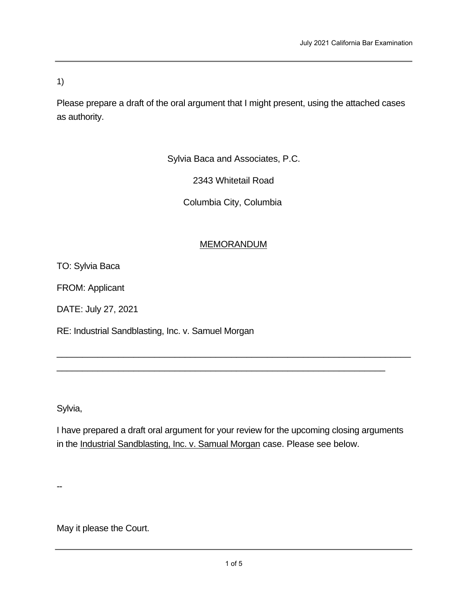1)

Please prepare a draft of the oral argument that I might present, using the attached cases as authority.

Sylvia Baca and Associates, P.C.

2343 Whitetail Road

Columbia City, Columbia

# MEMORANDUM

TO: Sylvia Baca

FROM: Applicant

DATE: July 27, 2021

RE: Industrial Sandblasting, Inc. v. Samuel Morgan

Sylvia,

I have prepared a draft oral argument for your review for the upcoming closing arguments in the Industrial Sandblasting, Inc. v. Samual Morgan case. Please see below.

\_\_\_\_\_\_\_\_\_\_\_\_\_\_\_\_\_\_\_\_\_\_\_\_\_\_\_\_\_\_\_\_\_\_\_\_\_\_\_\_\_\_\_\_\_\_\_\_\_\_\_\_\_\_\_\_\_\_\_\_\_\_\_\_\_\_\_\_\_

\_\_\_\_\_\_\_\_\_\_\_\_\_\_\_\_\_\_\_\_\_\_\_\_\_\_\_\_\_\_\_\_\_\_\_\_\_\_\_\_\_\_\_\_\_\_\_\_\_\_\_\_\_\_\_\_\_\_\_\_\_\_\_\_

--

May it please the Court.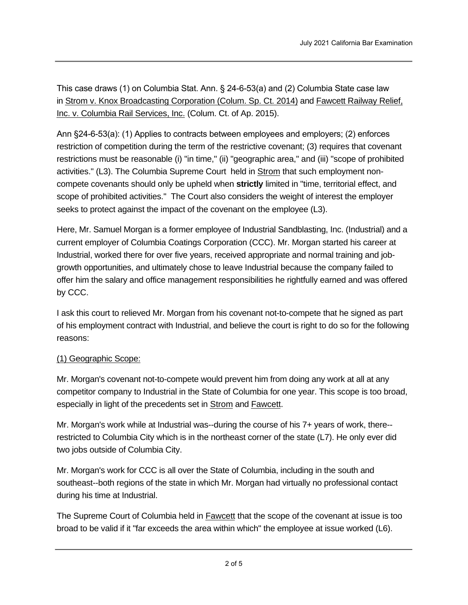This case draws (1) on Columbia Stat. Ann.  $\S$  24-6-53(a) and (2) Columbia State case law in Strom v. Knox Broadcasting Corporation (Colum. Sp. Ct. 2014) and Fawcett Railway Relief, Inc. v. Columbia Rail Services, Inc. (Colum. Ct. of Ap. 2015).

Ann §24-6-53(a): (1) Applies to contracts between employees and employers; (2) enforces restriction of competition during the term of the restrictive covenant; (3) requires that covenant restrictions must be reasonable (i) "in time," (ii) "geographic area," and (iii) "scope of prohibited activities." (L3). The Columbia Supreme Court held in Strom that such employment noncompete covenants should only be upheld when **strictly** limited in "time, territorial effect, and scope of prohibited activities." The Court also considers the weight of interest the employer seeks to protect against the impact of the covenant on the employee (L3).

Here, Mr. Samuel Morgan is a former employee of Industrial Sandblasting, Inc. (Industrial) and a current employer of Columbia Coatings Corporation (CCC). Mr. Morgan started his career at Industrial, worked there for over five years, received appropriate and normal training and jobgrowth opportunities, and ultimately chose to leave Industrial because the company failed to offer him the salary and office management responsibilities he rightfully earned and was offered by CCC.

I ask this court to relieved Mr. Morgan from his covenant not-to-compete that he signed as part of his employment contract with Industrial, and believe the court is right to do so for the following reasons:

#### (1) Geographic Scope:

Mr. Morgan's covenant not-to-compete would prevent him from doing any work at all at any competitor company to Industrial in the State of Columbia for one year. This scope is too broad, especially in light of the precedents set in Strom and Fawcett.

Mr. Morgan's work while at Industrial was--during the course of his 7+ years of work, there- restricted to Columbia City which is in the northeast corner of the state (L7). He only ever did two jobs outside of Columbia City.

Mr. Morgan's work for CCC is all over the State of Columbia, including in the south and southeast--both regions of the state in which Mr. Morgan had virtually no professional contact during his time at Industrial.

The Supreme Court of Columbia held in **Fawcett** that the scope of the covenant at issue is too broad to be valid if it "far exceeds the area within which" the employee at issue worked (L6).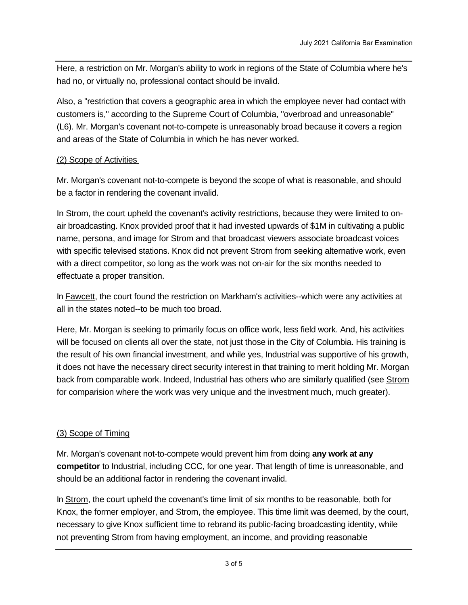Here, a restriction on Mr. Morgan's ability to work in regions of the State of Columbia where he's had no, or virtually no, professional contact should be invalid.

Also, a "restriction that covers a geographic area in which the employee never had contact with customers is," according to the Supreme Court of Columbia, "overbroad and unreasonable" (L6). Mr. Morgan's covenant not-to-compete is unreasonably broad because it covers a region and areas of the State of Columbia in which he has never worked.

### (2) Scope of Activities

Mr. Morgan's covenant not-to-compete is beyond the scope of what is reasonable, and should be a factor in rendering the covenant invalid.

In Strom, the court upheld the covenant's activity restrictions, because they were limited to onair broadcasting. Knox provided proof that it had invested upwards of \$1M in cultivating a public name, persona, and image for Strom and that broadcast viewers associate broadcast voices with specific televised stations. Knox did not prevent Strom from seeking alternative work, even with a direct competitor, so long as the work was not on-air for the six months needed to effectuate a proper transition.

In **Fawcett**, the court found the restriction on Markham's activities--which were any activities at all in the states noted--to be much too broad.

Here, Mr. Morgan is seeking to primarily focus on office work, less field work. And, his activities will be focused on clients all over the state, not just those in the City of Columbia. His training is the result of his own financial investment, and while yes, Industrial was supportive of his growth, it does not have the necessary direct security interest in that training to merit holding Mr. Morgan back from comparable work. Indeed, Industrial has others who are similarly qualified (see Strom for comparision where the work was very unique and the investment much, much greater).

### (3) Scope of Timing

Mr. Morgan's covenant not-to-compete would prevent him from doing **any work at any competitor** to Industrial, including CCC, for one year. That length of time is unreasonable, and should be an additional factor in rendering the covenant invalid.

In Strom, the court upheld the covenant's time limit of six months to be reasonable, both for Knox, the former employer, and Strom, the employee. This time limit was deemed, by the court, necessary to give Knox sufficient time to rebrand its public-facing broadcasting identity, while not preventing Strom from having employment, an income, and providing reasonable

professional contribution to his new employer, WCAP-TV. Knox provided **proof** that the six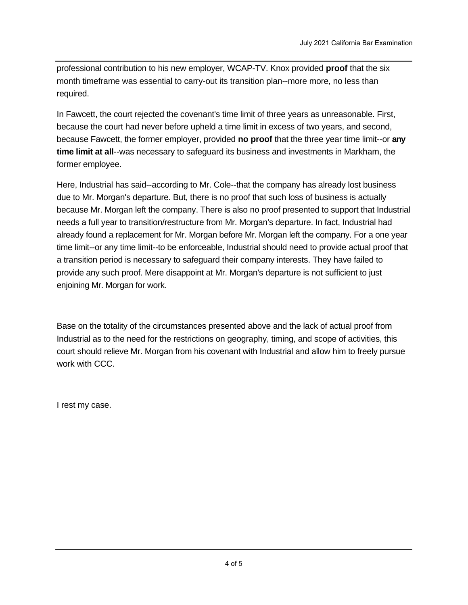professional contribution to his new employer, WCAP-TV. Knox provided **proof** that the six month timeframe was essential to carry-out its transition plan--more more, no less than required.

In Fawcett, the court rejected the covenant's time limit of three years as unreasonable. First, because the court had never before upheld a time limit in excess of two years, and second, because Fawcett, the former employer, provided **no proof** that the three year time limit--or **any time limit at all**--was necessary to safeguard its business and investments in Markham, the former employee.

Here, Industrial has said--according to Mr. Cole--that the company has already lost business due to Mr. Morgan's departure. But, there is no proof that such loss of business is actually because Mr. Morgan left the company. There is also no proof presented to support that Industrial needs a full year to transition/restructure from Mr. Morgan's departure. In fact, Industrial had already found a replacement for Mr. Morgan before Mr. Morgan left the company. For a one year time limit--or any time limit--to be enforceable, Industrial should need to provide actual proof that a transition period is necessary to safeguard their company interests. They have failed to provide any such proof. Mere disappoint at Mr. Morgan's departure is not sufficient to just enjoining Mr. Morgan for work.

Base on the totality of the circumstances presented above and the lack of actual proof from Industrial as to the need for the restrictions on geography, timing, and scope of activities, this court should relieve Mr. Morgan from his covenant with Industrial and allow him to freely pursue work with CCC.

I rest my case.